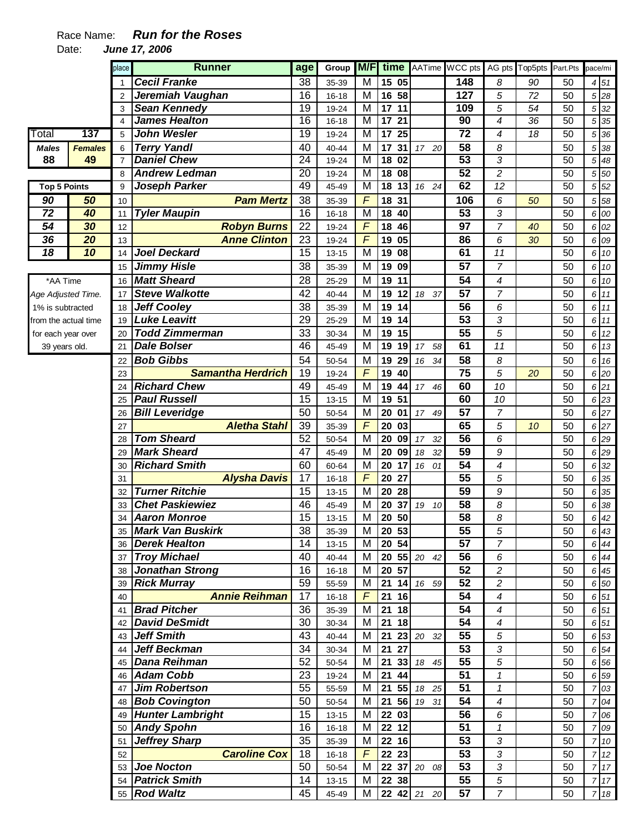## Race Name: **Run for the Roses**

Date: **June 17, 2006** 

|                      |                | place          | <b>Runner</b>                           | age             | Group                  | <b>M/F</b>              | time                  |                       | AATime WCC pts        |                  | AG pts Top5pts | Part.Pts | pace/mi        |                   |
|----------------------|----------------|----------------|-----------------------------------------|-----------------|------------------------|-------------------------|-----------------------|-----------------------|-----------------------|------------------|----------------|----------|----------------|-------------------|
|                      |                |                | <b>Cecil Franke</b>                     | 38              | 35-39                  | M                       | 15 05                 |                       | 148                   | 8                | 90             | 50       |                | 4 51              |
|                      |                | 2              | Jeremiah Vaughan                        | 16              | $16 - 18$              | M                       | 16<br>58              |                       | $\overline{127}$      | 5                | 72             | 50       |                | 5 28              |
|                      |                | 3              | <b>Sean Kennedy</b>                     | 19              | 19-24                  | M                       | 17<br>11              |                       | 109                   | 5                | 54             | 50       |                | 5 32              |
|                      |                | 4              | <b>James Healton</b>                    | $\overline{16}$ | $16 - 18$              | $\overline{\mathsf{M}}$ | $\overline{17}$<br>21 |                       | $\overline{90}$       | $\overline{4}$   | 36             | 50       |                | 5 35              |
| Total                | 137            | 5              | <b>John Wesler</b>                      | 19              | 19-24                  | M                       | 25<br>$\overline{17}$ |                       | $\overline{72}$       | 4                | 18             | 50       |                | 5 36              |
| <b>Males</b>         | <b>Females</b> | 6              | <b>Terry Yandl</b>                      | 40              | 40-44                  | M                       | 17<br>31              | 17 20                 | 58                    | 8                |                | 50       | 5              | 38                |
| 88                   | 49             | $\overline{7}$ | <b>Daniel Chew</b>                      | $\overline{24}$ | 19-24                  | $\overline{\mathsf{M}}$ | 18<br>02              |                       | 53                    | 3                |                | 50       | 5              | 48                |
|                      |                | 8              | <b>Andrew Ledman</b>                    | $\overline{20}$ | 19-24                  | M                       | 18<br>08              |                       | 52                    | $\overline{c}$   |                | 50       | 5              | 50                |
| <b>Top 5 Points</b>  |                | 9              | <b>Joseph Parker</b>                    | 49              | 45-49                  | м                       | $\overline{18}$<br>13 | 16 24                 | 62                    | $\overline{12}$  |                | 50       |                | $5\overline{52}$  |
| 90                   | 50             | 10             | <b>Pam Mertz</b>                        | 38              | 35-39                  | $\overline{F}$          | 18<br>31              |                       | 106                   | 6                | 50             | 50       | 5 <sup>5</sup> | 58                |
| 72                   | 40             | 11             | <b>Tyler Maupin</b>                     | 16              | $16 - 18$              | M                       | 40<br>18              |                       | 53                    | 3                |                | 50       |                | 6 00              |
| 54                   | 30             | 12             | <b>Robyn Burns</b>                      | 22              | 19-24                  | F                       | 18<br>46              |                       | 97                    | $\overline{7}$   | 40             | 50       |                | 6 02              |
| 36                   | 20             | 13             | <b>Anne Clinton</b>                     | 23              | 19-24                  | F                       | 05<br>19              |                       | 86                    | 6                | 30             | 50       |                | 6 09              |
| 18                   | 10             | 14             | <b>Joel Deckard</b>                     | 15              | $13 - 15$              | М                       | 19<br>08              |                       | 61                    | 11               |                | 50       |                | 6 10              |
|                      |                | 15             | <b>Jimmy Hisle</b>                      | 38              | 35-39                  | M                       | 19<br>09              |                       | $\overline{57}$       | $\overline{7}$   |                | 50       |                | 6 10              |
| *AA Time             |                | 16             | <b>Matt Sheard</b>                      | 28              | 25-29                  | M                       | 19<br>11              |                       | 54                    | 4                |                | 50       |                | 6 10              |
| Age Adjusted Time.   |                | 17             | <b>Steve Walkotte</b>                   | 42              | 40-44                  | M                       | 19<br>12              | 37<br>18              | $\overline{57}$       | $\overline{7}$   |                | 50       |                | 6 11              |
| 1% is subtracted     |                | 18             | <b>Jeff Cooley</b>                      | $\overline{38}$ | 35-39                  | M                       | 19<br>14              |                       | $\overline{56}$       | 6                |                | 50       |                | 6 11              |
| from the actual time |                | 19             | <b>Luke Leavitt</b>                     | 29              | 25-29                  | M                       | 19<br>14              |                       | 53                    | 3                |                | 50       |                | 6 11              |
| for each year over   |                | 20             | <b>Todd Zimmerman</b>                   | 33              | 30-34                  | M                       | 19<br>15              |                       | $\overline{55}$       | 5                |                | 50       |                | 6 12              |
| 39 years old.        |                | 21             | <b>Dale Bolser</b>                      | 46              | 45-49                  | Μ                       | 19<br>19              | 17 <sup>7</sup><br>58 | 61                    | 11               |                | 50       |                | 6 13              |
|                      |                | 22             | <b>Bob Gibbs</b>                        | 54              | 50-54                  | М                       | 19<br>29              | 34<br>16              | 58                    | 8                |                | 50       |                | 6 16              |
|                      |                | 23             | <b>Samantha Herdrich</b>                | 19              | 19-24                  | $\overline{F}$          | 40<br>19              |                       | 75                    | 5                | 20             | 50       |                | 6 20              |
|                      |                | 24             | <b>Richard Chew</b>                     | 49              | 45-49                  | M                       | 19<br>44              | 17 46                 | 60                    | 10               |                | 50       |                | 6 21              |
|                      |                | 25             | <b>Paul Russell</b>                     | 15              | $13 - 15$              | M                       | 19<br>51              |                       | 60                    | 10               |                | 50       |                | 6 23              |
|                      |                | 26             | <b>Bill Leveridge</b>                   | 50              | 50-54                  | M                       | 20<br>01              | 17 49                 | $\overline{57}$       | $\overline{7}$   |                | 50       |                | 6 27              |
|                      |                | 27             | <b>Aletha Stahl</b>                     | 39              | 35-39                  | $\overline{F}$          | 20<br>03              |                       | 65                    | 5                | 10             | 50       |                | 6 27              |
|                      |                | 28             | <b>Tom Sheard</b><br><b>Mark Sheard</b> | 52<br>47        | 50-54                  | M                       | 20<br>09              | 32<br>17              | 56<br>$\overline{59}$ | 6<br>9           |                | 50<br>50 |                | 6 29              |
|                      |                | 29             | <b>Richard Smith</b>                    | 60              | 45-49                  | M<br>M                  | 20<br>09<br>20<br>17  | 18<br>32              | $\overline{54}$       | 4                |                | 50       |                | 6 29              |
|                      |                | 30             | <b>Alysha Davis</b>                     | 17              | 60-64                  | $\overline{F}$          | 20<br>27              | 16<br>01              | $\overline{55}$       |                  |                | 50       |                | 6 32<br>6 35      |
|                      |                | 31<br>32       | <b>Turner Ritchie</b>                   | 15              | $16 - 18$<br>$13 - 15$ | M                       | 20<br>28              |                       | $\overline{59}$       | 5<br>9           |                | 50       |                | 6 35              |
|                      |                | 33             | <b>Chet Paskiewiez</b>                  | 46              | 45-49                  | М                       | 20<br>37              | 19<br>10              | $\overline{58}$       | 8                |                | 50       | 6              | 38                |
|                      |                | 34             | <b>Aaron Monroe</b>                     | 15              | $13 - 15$              | M                       | 20<br>50              |                       | 58                    | 8                |                | 50       | 6              | 42                |
|                      |                |                | 35 Mark Van Buskirk                     | $\overline{38}$ | 35-39                  | $\overline{\mathsf{M}}$ | 20 53                 |                       | $\overline{55}$       | $\overline{5}$   |                | 50       |                | 6 43              |
|                      |                |                | 36 Derek Healton                        | 14              | 13-15                  | M                       | 20 54                 |                       | 57                    | $\overline{7}$   |                | 50       |                | $6 \overline{44}$ |
|                      |                |                | 37 Troy Michael                         | 40              | 40-44                  | M                       |                       | 20 55 20 42           | 56                    | 6                |                | 50       |                | 6 44              |
|                      |                | 38             | <b>Jonathan Strong</b>                  | 16              | 16-18                  | M                       | 20 57                 |                       | $\overline{52}$       | $\overline{c}$   |                | 50       |                | 6 45              |
|                      |                | 39             | <b>Rick Murray</b>                      | 59              | 55-59                  | M                       | 21 14                 | 16 59                 | 52                    | $\overline{c}$   |                | 50       |                | 6 50              |
|                      |                | 40             | <b>Annie Reihman</b>                    | 17              | $16 - 18$              | F                       | 21<br>16              |                       | 54                    | $\overline{4}$   |                | 50       |                | 6 51              |
|                      |                | 41             | <b>Brad Pitcher</b>                     | 36              | 35-39                  | M                       | 21<br>18              |                       | 54                    | $\overline{4}$   |                | 50       |                | 6 51              |
|                      |                | 42             | <b>David DeSmidt</b>                    | 30              | 30-34                  | M                       | 21<br>18              |                       | 54                    | $\boldsymbol{4}$ |                | 50       |                | 6 51              |
|                      |                | 43             | <b>Jeff Smith</b>                       | 43              | 40-44                  | M                       | 21<br>23              | 20 32                 | 55                    | 5                |                | 50       |                | 6 53              |
|                      |                | 44             | <b>Jeff Beckman</b>                     | 34              | 30-34                  | M                       | 27<br>21              |                       | $\overline{53}$       | 3                |                | 50       |                | 6 54              |
|                      |                | 45             | <b>Dana Reihman</b>                     | 52              | 50-54                  | M                       | 21<br>33              | 18 45                 | $\overline{55}$       | 5                |                | 50       |                | 6 56              |
|                      |                | 46             | <b>Adam Cobb</b>                        | 23              | 19-24                  | M                       | 21<br>44              |                       | 51                    | 1                |                | 50       |                | 6 59              |
|                      |                | 47             | <b>Jim Robertson</b>                    | 55              | 55-59                  | M                       | 21                    | 55 18 25              | 51                    | $\mathcal I$     |                | 50       |                | 7 03              |
|                      |                |                | 48 <b>Bob Covington</b>                 | 50              | 50-54                  | M                       | 21<br>56              | 19 31                 | 54                    | $\boldsymbol{4}$ |                | 50       |                | 7 04              |
|                      |                |                | 49 Hunter Lambright                     | 15              | 13-15                  | M                       | 22<br>03              |                       | 56                    | 6                |                | 50       |                | 7 06              |
|                      |                |                | 50 Andy Spohn                           | 16              | 16-18                  | M                       | 22 12                 |                       | 51                    | 1                |                | 50       |                | 7 09              |
|                      |                | 51             | <b>Jeffrey Sharp</b>                    | $\overline{35}$ | 35-39                  | M                       | 22 16                 |                       | 53                    | 3                |                | 50       |                | 710               |
|                      |                | 52             | <b>Caroline Cox</b>                     | 18              | $16 - 18$              | F                       | 22 23                 |                       | 53                    | 3                |                | 50       | 7              | 12                |
|                      |                | 53             | <b>Joe Nocton</b>                       | 50              | 50-54                  | M                       |                       | 22 37 20 08           | 53                    | 3                |                | 50       |                | 717               |
|                      |                | 54             | <b>Patrick Smith</b>                    | 14              | $13 - 15$              | M                       | 22 38                 |                       | $\overline{55}$       | $\overline{5}$   |                | 50       |                | 7 17              |
|                      |                |                | 55 Rod Waltz                            | 45              | 45-49                  | М                       |                       | 22 42 21 20           | 57                    | $\overline{7}$   |                | 50       |                | 7 18              |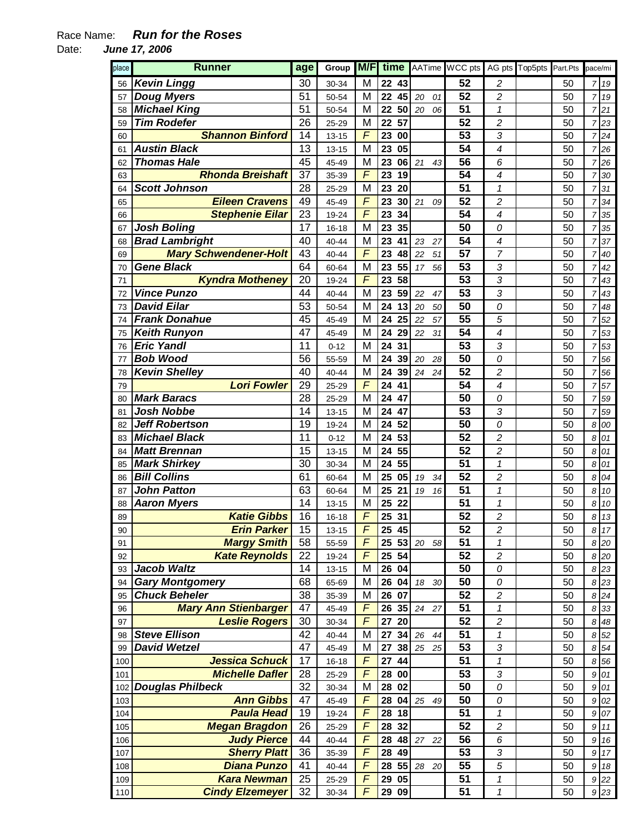## Race Name: **Run for the Roses**

Date: **June 17, 2006** 

| place | <b>Runner</b>                | age             |           |                |                 |          | Group <b>M/F</b> time AATime WCC pts AG pts Top5pts Part.Pts |                          |    | pace/mi        |                  |
|-------|------------------------------|-----------------|-----------|----------------|-----------------|----------|--------------------------------------------------------------|--------------------------|----|----------------|------------------|
| 56    | <b>Kevin Lingg</b>           | 30              | 30-34     | M              | 22 43           |          | 52                                                           | 2                        | 50 | 7              | 19               |
| 57    | <b>Doug Myers</b>            | 51              | 50-54     | M              | 22<br>45        | 20<br>01 | 52                                                           | 2                        | 50 | 7              | 19               |
| 58    | <b>Michael King</b>          | 51              | 50-54     | M              | 22<br>50        | 20<br>06 | 51                                                           | 1                        | 50 | 7              | 21               |
| 59    | <b>Tim Rodefer</b>           | 26              | 25-29     | M              | 57<br>22        |          | 52                                                           | 2                        | 50 | 7              | 23               |
| 60    | <b>Shannon Binford</b>       | 14              | $13 - 15$ | $\overline{F}$ | 23<br>00        |          | 53                                                           | 3                        | 50 |                | 724              |
| 61    | <b>Austin Black</b>          | 13              | $13 - 15$ | M              | 05<br>23        |          | 54                                                           | $\overline{4}$           | 50 |                | 7 26             |
| 62    | <b>Thomas Hale</b>           | 45              | 45-49     | M              | 23<br>06        | 21<br>43 | 56                                                           | 6                        | 50 | 7              | 26               |
| 63    | <b>Rhonda Breishaft</b>      | 37              | 35-39     | $\overline{F}$ | 23<br>19        |          | 54                                                           | 4                        | 50 | 7              | 30               |
| 64    | <b>Scott Johnson</b>         | 28              | 25-29     | M              | 23<br>20        |          | 51                                                           | $\mathbf 1$              | 50 | 7              | 31               |
| 65    | <b>Eileen Cravens</b>        | 49              | 45-49     | F              | 23<br>30        | 21<br>09 | 52                                                           | $\overline{c}$           | 50 | 7              | 34               |
| 66    | <b>Stephenie Eilar</b>       | 23              | 19-24     | $\sqrt{F}$     | 23<br>34        |          | 54                                                           | 4                        | 50 | 7              | 35               |
| 67    | <b>Josh Boling</b>           | 17              | $16 - 18$ | M              | 35<br>23        |          | 50                                                           | 0                        | 50 | 7              | 35               |
| 68    | <b>Brad Lambright</b>        | 40              | 40-44     | M              | 23<br>41        | 23<br>27 | 54                                                           | 4                        | 50 | 7              | 37               |
| 69    | <b>Mary Schwendener-Holt</b> | 43              | 40-44     | F              | 23<br>48        | 22<br>51 | 57                                                           | 7                        | 50 | $\overline{7}$ | 40               |
| 70    | <b>Gene Black</b>            | 64              | 60-64     | M              | 23<br>55        | 56<br>17 | 53                                                           | 3                        | 50 | 7              | 42               |
| 71    | <b>Kyndra Motheney</b>       | 20              | 19-24     | $\overline{F}$ | 23<br>58        |          | 53                                                           | 3                        | 50 | 7              | 43               |
| 72    | <b>Vince Punzo</b>           | 44              | $40 - 44$ | M              | 23<br>59        | 22<br>47 | 53                                                           | 3                        | 50 | 7              | 43               |
| 73    | <b>David Eilar</b>           | 53              | 50-54     | M              | 24<br>13        | 20<br>50 | 50                                                           | 0                        | 50 | 7              | 48               |
| 74    | <b>Frank Donahue</b>         | 45              | 45-49     | M              | 24<br>25        | 22<br>57 | 55                                                           | 5                        | 50 | 7              | 52               |
| 75    | <b>Keith Runyon</b>          | 47              | 45-49     | M              | 24<br>29        | 31<br>22 | 54                                                           | $\overline{\mathcal{A}}$ | 50 |                | 53               |
|       | <b>Eric Yandl</b>            | 11              |           |                |                 |          | 53                                                           | 3                        |    | 7              |                  |
| 76    | <b>Bob Wood</b>              |                 | $0 - 12$  | M              | 24<br>31        |          |                                                              |                          | 50 | 7              | 53               |
| 77    |                              | 56              | 55-59     | M              | 24<br>39        | 20<br>28 | 50                                                           | 0                        | 50 | 7              | 56               |
| 78    | <b>Kevin Shelley</b>         | 40              | 40-44     | M              | 39<br>24        | 24<br>24 | 52                                                           | 2                        | 50 | 7              | 56               |
| 79    | <b>Lori Fowler</b>           | 29              | 25-29     | F              | 24<br>41        |          | 54                                                           | 4                        | 50 | 7              | 57               |
| 80    | <b>Mark Baracs</b>           | 28              | 25-29     | M              | 47<br>24        |          | 50                                                           | 0                        | 50 | 7              | 59               |
| 81    | <b>Josh Nobbe</b>            | 14              | $13 - 15$ | M              | 24<br>47        |          | 53                                                           | 3                        | 50 | 7              | 59               |
| 82    | <b>Jeff Robertson</b>        | 19              | 19-24     | M              | 24<br>52        |          | 50                                                           | 0                        | 50 | 8              | 00               |
| 83    | <b>Michael Black</b>         | 11              | $0 - 12$  | M              | 24<br>53        |          | 52                                                           | $\overline{c}$           | 50 | 8              | 01               |
| 84    | <b>Matt Brennan</b>          | 15              | $13 - 15$ | M              | 55<br>24        |          | 52                                                           | 2                        | 50 | 8              | 01               |
| 85    | <b>Mark Shirkey</b>          | 30              | 30-34     | M              | 24<br>55        |          | 51                                                           | 1                        | 50 | 8              | 01               |
| 86    | <b>Bill Collins</b>          | 61              | 60-64     | M              | 25<br>05        | 19<br>34 | 52                                                           | $\overline{c}$           | 50 | 8              | 04               |
| 87    | <b>John Patton</b>           | 63              | 60-64     | M              | 25<br>21        | 19<br>16 | 51                                                           | 1                        | 50 | 8              | 10               |
| 88    | <b>Aaron Myers</b>           | 14              | $13 - 15$ | M              | 25<br>22        |          | 51                                                           | 1                        | 50 | 8              | 10               |
| 89    | <b>Katie Gibbs</b>           | 16              | 16-18     | F              | 25<br>31        |          | 52                                                           | $\overline{c}$           | 50 | 8              | $13\,$           |
| 90    | <b>Erin Parker</b>           | 15              | $13 - 15$ | F              | 45<br>25        |          | $\overline{52}$                                              | $\overline{c}$           | 50 | 8              | 17               |
| 91    | <b>Margy Smith</b>           | 58              | 55-59     | F              | 25 53           | 20<br>58 | 51                                                           | 1                        | 50 | 8              | 20               |
| 92    | <b>Kate Reynolds</b>         | 22              | 19-24     | F              | 54<br>25        |          | 52                                                           | 2                        | 50 | 8              | 20               |
| 93    | <b>Jacob Waltz</b>           | 14              | $13 - 15$ | M              | 26<br>04        |          | 50                                                           | 0                        | 50 | 8              | 23               |
| 94    | <b>Gary Montgomery</b>       | 68              | 65-69     | M              | 26<br>04        | 18<br>30 | 50                                                           | 0                        | 50 | 8              | 23               |
| 95    | <b>Chuck Beheler</b>         | 38              | 35-39     | M              | 26<br>07        |          | 52                                                           | $\overline{c}$           | 50 | 8              | 24               |
| 96    | <b>Mary Ann Stienbarger</b>  | 47              | 45-49     | F              | 26<br>35        | 24<br>27 | 51                                                           | 1                        | 50 | 8              | 33               |
| 97    | <b>Leslie Rogers</b>         | 30              | 30-34     | $\overline{F}$ | 27<br>20        |          | 52                                                           | $\overline{c}$           | 50 | 8              | 48               |
| 98    | <b>Steve Ellison</b>         | 42              | 40-44     | M              | 34<br>27        | 26<br>44 | 51                                                           | $\mathbf 1$              | 50 | 8              | 52               |
| 99    | <b>David Wetzel</b>          | 47              | 45-49     | M              | 27<br>38        | 25<br>25 | 53                                                           | 3                        | 50 | 8              | 54               |
| 100   | <b>Jessica Schuck</b>        | 17              | 16-18     | F              | 27<br>44        |          | 51                                                           | 1                        | 50 | 8              | 56               |
| 101   | <b>Michelle Dafler</b>       | 28              | 25-29     | $\overline{F}$ | 28<br>$\bf{00}$ |          | 53                                                           | 3                        | 50 | 9              | 01               |
| 102   | <b>Douglas Philbeck</b>      | $\overline{32}$ | 30-34     | M              | 02<br>28        |          | 50                                                           | 0                        | 50 | 9              | 01               |
| 103   | <b>Ann Gibbs</b>             | 47              | 45-49     | F              | 28<br>04        | 25<br>49 | 50                                                           | 0                        | 50 | 9              | 02               |
| 104   | <b>Paula Head</b>            | 19              | 19-24     | F              | 18<br>28        |          | 51                                                           | 1                        | 50 | 9              | 07               |
| 105   | <b>Megan Bragdon</b>         | 26              | 25-29     | F              | 28<br>32        |          | 52                                                           | 2                        | 50 | 9              | 11               |
| 106   | <b>Judy Pierce</b>           | 44              | 40-44     | F              | 28<br>48        | 27<br>22 | 56                                                           | 6                        | 50 | 9              | 16               |
| 107   | <b>Sherry Platt</b>          | 36              | 35-39     | F              | 49<br>28        |          | 53                                                           | 3                        | 50 | 9              | 17               |
| 108   | <b>Diana Punzo</b>           | 41              | 40-44     | F              | 55<br>28        | 28<br>20 | 55                                                           | 5                        | 50 | 9              | $18\,$           |
| 109   | <b>Kara Newman</b>           | 25              | 25-29     | F              | 29<br>05        |          | 51                                                           | 1                        | 50 | 9              | 22               |
| 110   | <b>Cindy Elzemeyer</b>       | 32              | 30-34     | $\overline{F}$ | 29<br>09        |          | 51                                                           | 1                        | 50 |                | $9\overline{23}$ |